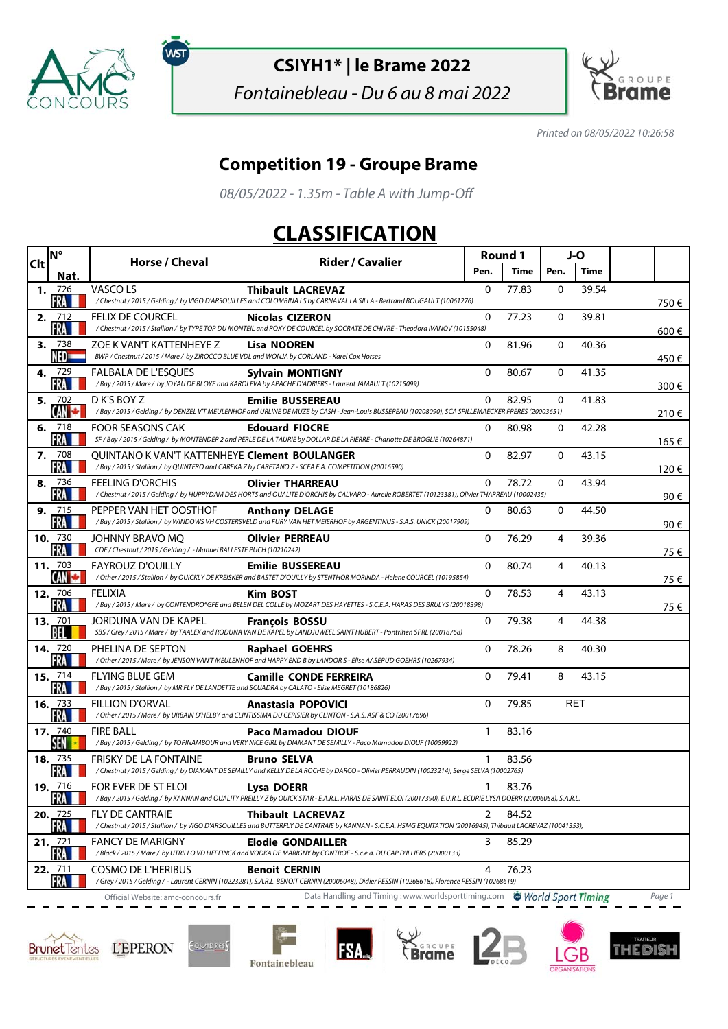

ัพรา

## **CSIYH1\* | le Brame 2022**

Fontainebleau - Du 6 au 8 mai 2022



Printed on 08/05/2022 10:26:58

## **Competition 19 - Groupe Brame**

08/05/2022 - 1.35m - Table A with Jump-Off

## **CLASSIFICATION**

| Clt | <b>N°</b>                                                                                                            | Horse / Cheval                                                                                                         | <b>Rider / Cavalier</b>                                                                                                                                                               | <b>Round 1</b> |       | J-O         |       |  |       |
|-----|----------------------------------------------------------------------------------------------------------------------|------------------------------------------------------------------------------------------------------------------------|---------------------------------------------------------------------------------------------------------------------------------------------------------------------------------------|----------------|-------|-------------|-------|--|-------|
|     | Nat.                                                                                                                 |                                                                                                                        |                                                                                                                                                                                       | Pen.           | Time  | Pen.        | Time  |  |       |
|     | 1. 726<br>FRA                                                                                                        | VASCO LS                                                                                                               | <b>Thibault LACREVAZ</b><br>/Chestnut / 2015 / Gelding / by VIGO D'ARSOUILLES and COLOMBINA LS by CARNAVAL LA SILLA - Bertrand BOUGAULT (10061276)                                    | $\Omega$       | 77.83 | $\Omega$    | 39.54 |  | 750€  |
|     | 2. $712$<br>FRA                                                                                                      | <b>FELIX DE COURCEL</b>                                                                                                | <b>Nicolas CIZERON</b><br>/Chestnut/2015/Stallion/ by TYPE TOP DU MONTEIL and ROXY DE COURCEL by SOCRATE DE CHIVRE - Theodora IVANOV (10155048)                                       | $\mathbf{0}$   | 77.23 | 0           | 39.81 |  | 600€  |
| 3.  | 738<br>NED <del>- -</del>                                                                                            | ZOE K VAN'T KATTENHEYE Z<br>BWP / Chestnut / 2015 / Mare / by ZIROCCO BLUE VDL and WONJA by CORLAND - Karel Cox Horses | <b>Lisa NOOREN</b>                                                                                                                                                                    | 0              | 81.96 | 0           | 40.36 |  | 450€  |
|     | 4. 729<br>FRA                                                                                                        | FALBALA DE L'ESOUES                                                                                                    | <b>Sylvain MONTIGNY</b><br>/Bay/2015/Mare/ by JOYAU DE BLOYE and KAROLEVA by APACHE D'ADRIERS - Laurent JAMAULT (10215099)                                                            | $\mathbf{0}$   | 80.67 | $\mathbf 0$ | 41.35 |  | 300€  |
| 5.  | 702<br>CAN C                                                                                                         | D K'S BOY Z                                                                                                            | <b>Emilie BUSSEREAU</b><br>/Bay / 2015 / Gelding / by DENZEL V'T MEULENHOF and URLINE DE MUZE by CASH - Jean-Louis BUSSEREAU (10208090), SCA SPILLEMAECKER FRERES (20003651)          | 0              | 82.95 | $\Omega$    | 41.83 |  |       |
|     | 6. $718$<br>FRA                                                                                                      | <b>FOOR SEASONS CAK</b>                                                                                                | <b>Edouard FIOCRE</b><br>SF / Bay / 2015 / Gelding / by MONTENDER 2 and PERLE DE LA TAURIE by DOLLAR DE LA PIERRE - Charlotte DE BROGLIE (10264871)                                   | 0              | 80.98 | $\mathbf 0$ | 42.28 |  | 210€  |
|     | 7. 708<br>FRA                                                                                                        | QUINTANO K VAN'T KATTENHEYE Clement BOULANGER                                                                          | /Bay / 2015 / Stallion / by QUINTERO and CAREKA Z by CARETANO Z - SCEA F.A. COMPETITION (20016590)                                                                                    | 0              | 82.97 | 0           | 43.15 |  | 165 € |
| 8.  | 736<br><b>FRA</b>                                                                                                    | <b>FEELING D'ORCHIS</b>                                                                                                | <b>Olivier THARREAU</b><br>/Chestnut / 2015 / Gelding / by HUPPYDAM DES HORTS and QUALITE D'ORCHIS by CALVARO - Aurelie ROBERTET (10123381), Olivier THARREAU (10002435)              | $\Omega$       | 78.72 | 0           | 43.94 |  | 120€  |
|     | 9. 715<br>FRA                                                                                                        | PEPPER VAN HET OOSTHOF                                                                                                 | <b>Anthony DELAGE</b><br>/Bay/2015/Stallion/byWINDOWSVHCOSTERSVELD and FURYVAN HET MEIERHOF by ARGENTINUS - S.A.S. UNICK (20017909)                                                   | 0              | 80.63 | 0           | 44.50 |  | 90 €  |
|     | <b>10.</b> 730<br>FRA                                                                                                | JOHNNY BRAVO MO<br>CDE / Chestnut / 2015 / Gelding / - Manuel BALLESTE PUCH (10210242)                                 | <b>Olivier PERREAU</b>                                                                                                                                                                | 0              | 76.29 | 4           | 39.36 |  | 90 €  |
|     | 11. 703<br>CAN <b>C</b>                                                                                              | <b>FAYROUZ D'OUILLY</b>                                                                                                | <b>Emilie BUSSEREAU</b><br>/Other/2015/Stallion/by QUICKLY DE KREISKER and BASTET D'OUILLY by STENTHOR MORINDA - Helene COURCEL (10195854)                                            | $\mathbf{0}$   | 80.74 | 4           | 40.13 |  | 75 €  |
|     | <b>12.</b> 706<br>FRA                                                                                                | FELIXIA                                                                                                                | <b>Kim BOST</b><br>/Bay / 2015 / Mare / by CONTENDRO*GFE and BELEN DEL COLLE by MOZART DES HAYETTES - S.C.E.A. HARAS DES BRULYS (20018398)                                            | 0              | 78.53 | 4           | 43.13 |  | 75 €  |
|     | 13. 701<br>BEL                                                                                                       | JORDUNA VAN DE KAPEL                                                                                                   | <b>François BOSSU</b><br>SBS / Grey / 2015 / Mare / by TAALEX and RODUNA VAN DE KAPEL by LANDJUWEEL SAINT HUBERT - Pontrihen SPRL (20018768)                                          | $\mathbf{0}$   | 79.38 | 4           | 44.38 |  | 75 €  |
|     | <b>14.</b> 720<br>FRA                                                                                                | PHELINA DE SEPTON                                                                                                      | <b>Raphael GOEHRS</b><br>/Other/2015/Mare/ by JENSON VAN'T MEULENHOF and HAPPY END B by LANDOR S - Elise AASERUD GOEHRS (10267934)                                                    | $\Omega$       | 78.26 | 8           | 40.30 |  |       |
|     | 15. 714<br>FRA                                                                                                       | <b>FLYING BLUE GEM</b><br>/Bay/2015/Stallion/by MR FLY DE LANDETTE and SCUADRA by CALATO - Elise MEGRET (10186826)     | <b>Camille CONDE FERREIRA</b>                                                                                                                                                         | 0              | 79.41 | 8           | 43.15 |  |       |
|     | 16. $733$<br>FRA                                                                                                     | <b>FILLION D'ORVAL</b>                                                                                                 | <b>Anastasia POPOVICI</b><br>/ Other / 2015 / Mare / by URBAIN D'HELBY and CLINTISSIMA DU CERISIER by CLINTON - S.A.S. ASF & CO (20017696)                                            | $\mathbf{0}$   | 79.85 |             | RET   |  |       |
|     | <b>17.</b> 740<br>SEN                                                                                                | <b>FIRE BALL</b>                                                                                                       | Paco Mamadou DIOUF<br>/Bay/2015/Gelding/by TOPINAMBOUR and VERY NICE GIRL by DIAMANT DE SEMILLY - Paco Mamadou DIOUF (10059922)                                                       | $\mathbf{1}$   | 83.16 |             |       |  |       |
|     | <b>18.</b> 735<br>FRA                                                                                                | FRISKY DE LA FONTAINE                                                                                                  | <b>Bruno SELVA</b><br>/Chestnut / 2015 / Gelding / by DIAMANT DE SEMILLY and KELLY DE LA ROCHE by DARCO - Olivier PERRAUDIN (10023214), Serge SELVA (10002765)                        | $\mathbf{1}$   | 83.56 |             |       |  |       |
|     | 19. $716$<br>FKA EL                                                                                                  | FOR EVER DE ST ELOI                                                                                                    | <b>Lysa DOERR</b><br>/Bay / 2015 / Gelding / by KANNAN and QUALITY PREILLY Z by QUICK STAR - E.A.R.L. HARAS DE SAINT ELOI (20017390), E.U.R.L. ECURIE LYSA DOERR (20006058), S.A.R.L. | $\mathbf{1}$   | 83.76 |             |       |  |       |
|     | 20.725<br>FRA                                                                                                        | FLY DE CANTRAIE                                                                                                        | <b>Thibault LACREVAZ</b><br>/Chestnut/2015/Stallion/by VIGO D'ARSOUILLES and BUTTERFLY DE CANTRAIE by KANNAN - S.C.E.A. HSMG EQUITATION (20016945), Thibault LACREVAZ (10041353),     | 2              | 84.52 |             |       |  |       |
|     | 21.721<br>FRA                                                                                                        | <b>FANCY DE MARIGNY</b>                                                                                                | <b>Elodie GONDAILLER</b><br>/Black/2015/Mare/ by UTRILLO VD HEFFINCK and VODKA DE MARIGNY by CONTROE - S.c.e.a. DU CAP D'ILLIERS (20000133)                                           | 3              | 85.29 |             |       |  |       |
|     | 22. 711<br>FRA                                                                                                       | <b>COSMO DE L'HERIBUS</b>                                                                                              | <b>Benoit CERNIN</b><br>/Grey / 2015 / Gelding / - Laurent CERNIN (10223281), S.A.R.L. BENOIT CERNIN (20006048), Didier PESSIN (10268618), Florence PESSIN (10268619)                 | 4              | 76.23 |             |       |  |       |
|     | Data Handling and Timing: www.worldsporttiming.com World Sport Timing<br>Page 1<br>Official Website: amc-concours.fr |                                                                                                                        |                                                                                                                                                                                       |                |       |             |       |  |       |